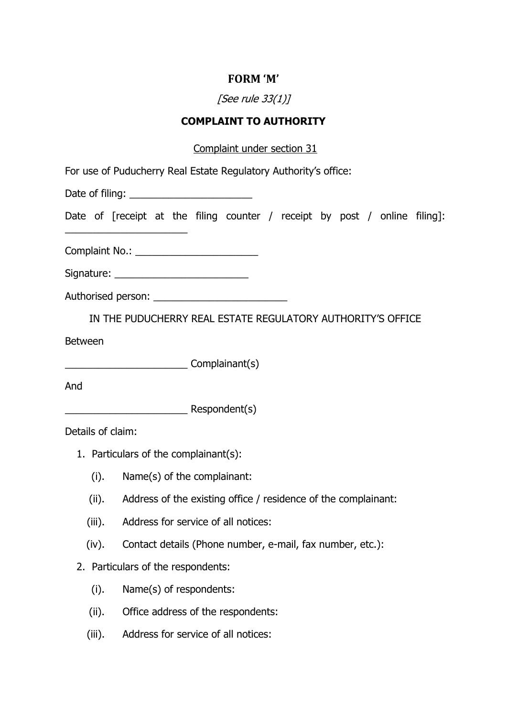## **FORM 'M'**

# [See rule 33(1)]

### **COMPLAINT TO AUTHORITY**

#### Complaint under section 31

| For use of Puducherry Real Estate Regulatory Authority's office: |  |
|------------------------------------------------------------------|--|
|------------------------------------------------------------------|--|

Date of filing: \_\_\_\_\_\_\_\_\_\_\_\_\_\_\_\_\_\_\_\_\_\_

Date of [receipt at the filing counter / receipt by post / online filing]:

Complaint No.: \_\_\_\_\_\_\_\_\_\_\_\_\_\_\_\_\_\_\_\_\_\_

| Signature: |  |
|------------|--|
|            |  |

\_\_\_\_\_\_\_\_\_\_\_\_\_\_\_\_\_\_\_\_\_\_

Authorised person: \_\_\_\_\_\_\_\_\_\_\_\_\_\_\_\_\_\_\_\_\_\_\_\_

IN THE PUDUCHERRY REAL ESTATE REGULATORY AUTHORITY'S OFFICE

Between

\_\_\_\_\_\_\_\_\_\_\_\_\_\_\_\_\_\_\_\_\_\_ Complainant(s)

And

\_\_\_\_\_\_\_\_\_\_\_\_\_\_\_\_\_\_\_\_\_\_ Respondent(s)

Details of claim:

- 1. Particulars of the complainant(s):
	- (i). Name(s) of the complainant:
	- (ii). Address of the existing office / residence of the complainant:
	- (iii). Address for service of all notices:
	- (iv). Contact details (Phone number, e-mail, fax number, etc.):
- 2. Particulars of the respondents:
	- (i). Name(s) of respondents:
	- (ii). Office address of the respondents:
	- (iii). Address for service of all notices: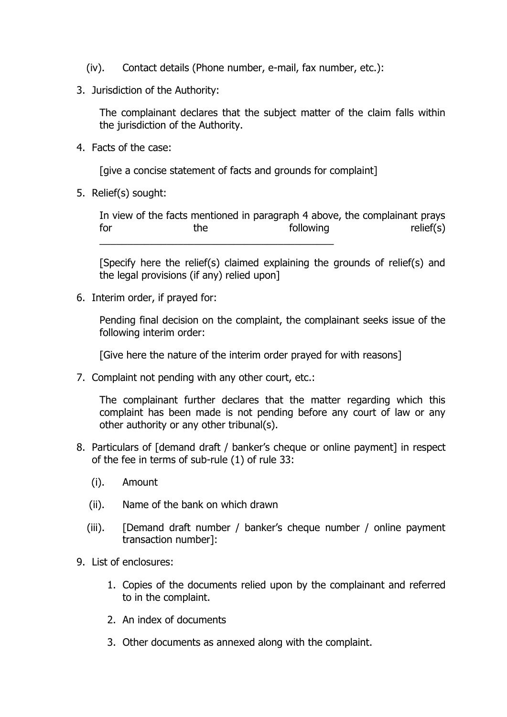- (iv). Contact details (Phone number, e-mail, fax number, etc.):
- 3. Jurisdiction of the Authority:

The complainant declares that the subject matter of the claim falls within the jurisdiction of the Authority.

4. Facts of the case:

[give a concise statement of facts and grounds for complaint]

5. Relief(s) sought:

In view of the facts mentioned in paragraph 4 above, the complainant prays for the the following relief(s) \_\_\_\_\_\_\_\_\_\_\_\_\_\_\_\_\_\_\_\_\_\_\_\_\_\_\_\_\_\_\_\_\_\_\_\_\_\_\_\_\_\_

[Specify here the relief(s) claimed explaining the grounds of relief(s) and the legal provisions (if any) relied upon]

6. Interim order, if prayed for:

Pending final decision on the complaint, the complainant seeks issue of the following interim order:

[Give here the nature of the interim order prayed for with reasons]

7. Complaint not pending with any other court, etc.:

The complainant further declares that the matter regarding which this complaint has been made is not pending before any court of law or any other authority or any other tribunal(s).

- 8. Particulars of [demand draft / banker's cheque or online payment] in respect of the fee in terms of sub-rule (1) of rule 33:
	- (i). Amount
	- (ii). Name of the bank on which drawn
	- (iii). [Demand draft number / banker's cheque number / online payment transaction number]:
- 9. List of enclosures:
	- 1. Copies of the documents relied upon by the complainant and referred to in the complaint.
	- 2. An index of documents
	- 3. Other documents as annexed along with the complaint.